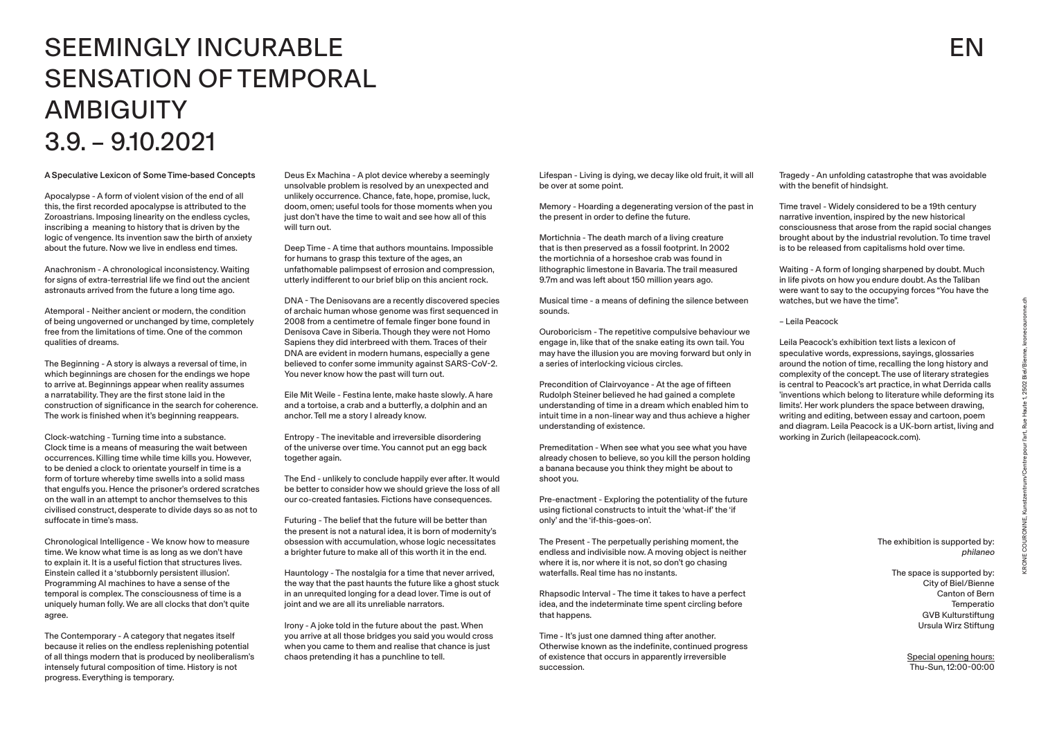A Speculative Lexicon of Some Time-based Concepts

Apocalypse - A form of violent vision of the end of all this, the first recorded apocalypse is attributed to the Zoroastrians. Imposing linearity on the endless cycles, inscribing a meaning to history that is driven by the logic of vengence. Its invention saw the birth of anxiety about the future. Now we live in endless end times.

Anachronism - A chronological inconsistency. Waiting for signs of extra-terrestrial life we find out the ancient astronauts arrived from the future a long time ago.

Atemporal - Neither ancient or modern, the condition of being ungoverned or unchanged by time, completely free from the limitations of time. One of the common qualities of dreams.

The Beginning - A story is always a reversal of time, in which beginnings are chosen for the endings we hope to arrive at. Beginnings appear when reality assumes a narratability. They are the first stone laid in the construction of significance in the search for coherence. The work is finished when it's beginning reappears.

Clock-watching - Turning time into a substance. Clock time is a means of measuring the wait between occurrences. Killing time while time kills you. However, to be denied a clock to orientate yourself in time is a form of torture whereby time swells into a solid mass that engulfs you. Hence the prisoner's ordered scratches on the wall in an attempt to anchor themselves to this civilised construct, desperate to divide days so as not to suffocate in time's mass.

Chronological Intelligence - We know how to measure time. We know what time is as long as we don't have to explain it. It is a useful fiction that structures lives. Einstein called it a 'stubbornly persistent illusion'. Programming AI machines to have a sense of the temporal is complex. The consciousness of time is a uniquely human folly. We are all clocks that don't quite agree.

The Contemporary - A category that negates itself because it relies on the endless replenishing potential of all things modern that is produced by neoliberalism's intensely futural composition of time. History is not progress. Everything is temporary.

Deus Ex Machina - A plot device whereby a seemingly unsolvable problem is resolved by an unexpected and unlikely occurrence. Chance, fate, hope, promise, luck, doom, omen; useful tools for those moments when you just don't have the time to wait and see how all of this will turn out.

Deep Time - A time that authors mountains. Impossible for humans to grasp this texture of the ages, an unfathomable palimpsest of errosion and compression, utterly indifferent to our brief blip on this ancient rock.

DNA - The Denisovans are a recently discovered species of archaic human whose genome was first sequenced in 2008 from a centimetre of female finger bone found in Denisova Cave in Siberia. Though they were not Homo Sapiens they did interbreed with them. Traces of their DNA are evident in modern humans, especially a gene believed to confer some immunity against SARS-CoV-2. You never know how the past will turn out.

Eile Mit Weile - Festina lente, make haste slowly. A hare and a tortoise, a crab and a butterfly, a dolphin and an anchor. Tell me a story I already know.

Entropy - The inevitable and irreversible disordering of the universe over time. You cannot put an egg back together again.

The End - unlikely to conclude happily ever after. It would be better to consider how we should grieve the loss of all our co-created fantasies. Fictions have consequences.

Futuring - The belief that the future will be better than the present is not a natural idea, it is born of modernity's obsession with accumulation, whose logic necessitates a brighter future to make all of this worth it in the end.

Hauntology - The nostalgia for a time that never arrived, the way that the past haunts the future like a ghost stuck in an unrequited longing for a dead lover. Time is out of joint and we are all its unreliable narrators.

Irony - A joke told in the future about the past. When you arrive at all those bridges you said you would cross when you came to them and realise that chance is just chaos pretending it has a punchline to tell.

## SEEMINGLY INCURABLE SENSATION OF TEMPORAL **AMBIGUITY** 3.9. – 9.10.2021

## EN

| Lifespan - Living is dying, we decay like old fruit, it will all |  |
|------------------------------------------------------------------|--|
| be over at some point.                                           |  |

Memory - Hoarding a degenerating version of the past in the present in order to define the future.

Mortichnia - The death march of a living creature that is then preserved as a fossil footprint. In 2002 the mortichnia of a horseshoe crab was found in lithographic limestone in Bavaria. The trail measured 9.7m and was left about 150 million years ago.

Musical time - a means of defining the silence between sounds.

Ouroboricism - The repetitive compulsive behaviour we engage in, like that of the snake eating its own tail. You may have the illusion you are moving forward but only in a series of interlocking vicious circles.

Precondition of Clairvoyance - At the age of fifteen Rudolph Steiner believed he had gained a complete understanding of time in a dream which enabled him to intuit time in a non-linear way and thus achieve a higher understanding of existence.

Premeditation - When see what you see what you have already chosen to believe, so you kill the person holding a banana because you think they might be about to shoot you.

Pre-enactment - Exploring the potentiality of the future using fictional constructs to intuit the 'what-if' the 'if only' and the 'if-this-goes-on'.

The Present - The perpetually perishing moment, the endless and indivisible now. A moving object is neither where it is, nor where it is not, so don't go chasing waterfalls. Real time has no instants.

Rhapsodic Interval - The time it takes to have a perfect idea, and the indeterminate time spent circling before that happens.

Time - It's just one damned thing after another. Otherwise known as the indefinite, continued progress of existence that occurs in apparently irreversible succession.

Tragedy - An unfolding catastrophe that was avoidable with the benefit of hindsight.

Time travel - Widely considered to be a 19th century narrative invention, inspired by the new historical consciousness that arose from the rapid social changes brought about by the industrial revolution. To time travel is to be released from capitalisms hold over time.

Waiting - A form of longing sharpened by doubt. Much in life pivots on how you endure doubt. As the Taliban were want to say to the occupying forces "You have the watches, but we have the time".

## – Leila Peacock

Leila Peacock's exhibition text lists a lexicon of speculative words, expressions, sayings, glossaries around the notion of time, recalling the long history and complexity of the concept. The use of literary strategies is central to Peacock's art practice, in what Derrida calls 'inventions which belong to literature while deforming its limits'. Her work plunders the space between drawing, writing and editing, between essay and cartoon, poem and diagram. Leila Peacock is a UK-born artist, living and working in Zurich (leilapeacock.com).

> The exhibition is supported by: philaneo

> > The space is supported by: City of Biel/Bienne Canton of Bern Temperatio GVB Kulturstiftung Ursula Wirz Stiftung

> > > Special opening hours: Thu-Sun, 12:00-00:00